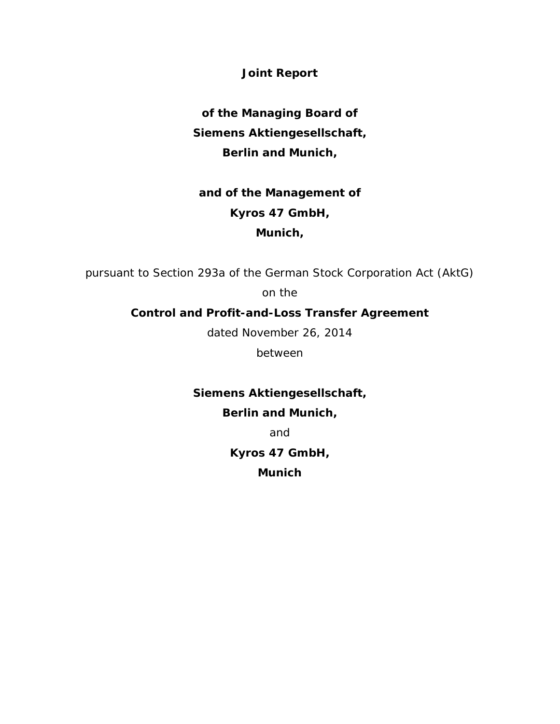**Joint Report**

**of the Managing Board of Siemens Aktiengesellschaft, Berlin and Munich,**

# **and of the Management of Kyros 47 GmbH, Munich,**

pursuant to Section 293a of the German Stock Corporation Act (AktG)

on the

# **Control and Profit-and-Loss Transfer Agreement**

dated November 26, 2014

between

# **Siemens Aktiengesellschaft,**

# **Berlin and Munich,**

and

**Kyros 47 GmbH,**

**Munich**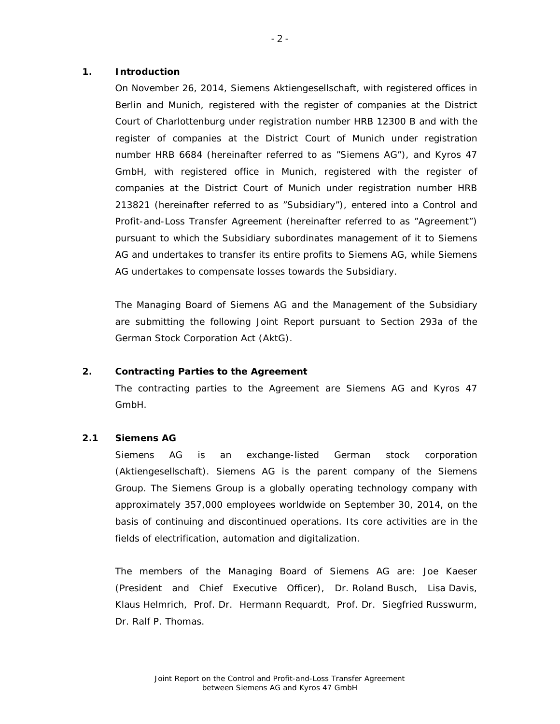#### **1. Introduction**

On November 26, 2014, Siemens Aktiengesellschaft, with registered offices in Berlin and Munich, registered with the register of companies at the District Court of Charlottenburg under registration number HRB 12300 B and with the register of companies at the District Court of Munich under registration number HRB 6684 (hereinafter referred to as "Siemens AG"), and Kyros 47 GmbH, with registered office in Munich, registered with the register of companies at the District Court of Munich under registration number HRB 213821 (hereinafter referred to as "Subsidiary"), entered into a Control and Profit-and-Loss Transfer Agreement (hereinafter referred to as "Agreement") pursuant to which the Subsidiary subordinates management of it to Siemens AG and undertakes to transfer its entire profits to Siemens AG, while Siemens AG undertakes to compensate losses towards the Subsidiary.

The Managing Board of Siemens AG and the Management of the Subsidiary are submitting the following Joint Report pursuant to Section 293a of the German Stock Corporation Act (AktG).

### **2. Contracting Parties to the Agreement**

The contracting parties to the Agreement are Siemens AG and Kyros 47 GmbH.

### **2.1 Siemens AG**

Siemens AG is an exchange-listed German stock corporation (*Aktiengesellschaft*). Siemens AG is the parent company of the Siemens Group. The Siemens Group is a globally operating technology company with approximately 357,000 employees worldwide on September 30, 2014, on the basis of continuing and discontinued operations. Its core activities are in the fields of electrification, automation and digitalization.

The members of the Managing Board of Siemens AG are: Joe Kaeser (President and Chief Executive Officer), Dr. Roland Busch, Lisa Davis, Klaus Helmrich, Prof. Dr. Hermann Requardt, Prof. Dr. Siegfried Russwurm, Dr. Ralf P. Thomas.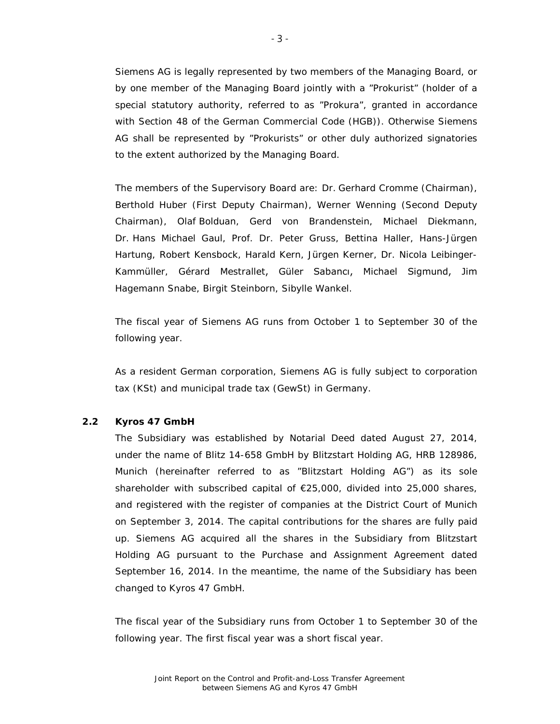Siemens AG is legally represented by two members of the Managing Board, or by one member of the Managing Board jointly with a "Prokurist" (holder of a special statutory authority, referred to as "Prokura", granted in accordance with Section 48 of the German Commercial Code (HGB)). Otherwise Siemens AG shall be represented by "Prokurists" or other duly authorized signatories to the extent authorized by the Managing Board.

The members of the Supervisory Board are: Dr. Gerhard Cromme (Chairman), Berthold Huber (First Deputy Chairman), Werner Wenning (Second Deputy Chairman), Olaf Bolduan, Gerd von Brandenstein, Michael Diekmann, Dr. Hans Michael Gaul, Prof. Dr. Peter Gruss, Bettina Haller, Hans-Jürgen Hartung, Robert Kensbock, Harald Kern, Jürgen Kerner, Dr. Nicola Leibinger-Kammüller, Gérard Mestrallet, Güler Sabancı, Michael Sigmund, Jim Hagemann Snabe, Birgit Steinborn, Sibylle Wankel.

The fiscal year of Siemens AG runs from October 1 to September 30 of the following year.

As a resident German corporation, Siemens AG is fully subject to corporation tax (KSt) and municipal trade tax (GewSt) in Germany.

## **2.2 Kyros 47 GmbH**

The Subsidiary was established by Notarial Deed dated August 27, 2014, under the name of Blitz 14-658 GmbH by Blitzstart Holding AG, HRB 128986, Munich (hereinafter referred to as "Blitzstart Holding AG") as its sole shareholder with subscribed capital of €25,000, divided into 25,000 shares, and registered with the register of companies at the District Court of Munich on September 3, 2014. The capital contributions for the shares are fully paid up. Siemens AG acquired all the shares in the Subsidiary from Blitzstart Holding AG pursuant to the Purchase and Assignment Agreement dated September 16, 2014. In the meantime, the name of the Subsidiary has been changed to Kyros 47 GmbH.

The fiscal year of the Subsidiary runs from October 1 to September 30 of the following year. The first fiscal year was a short fiscal year.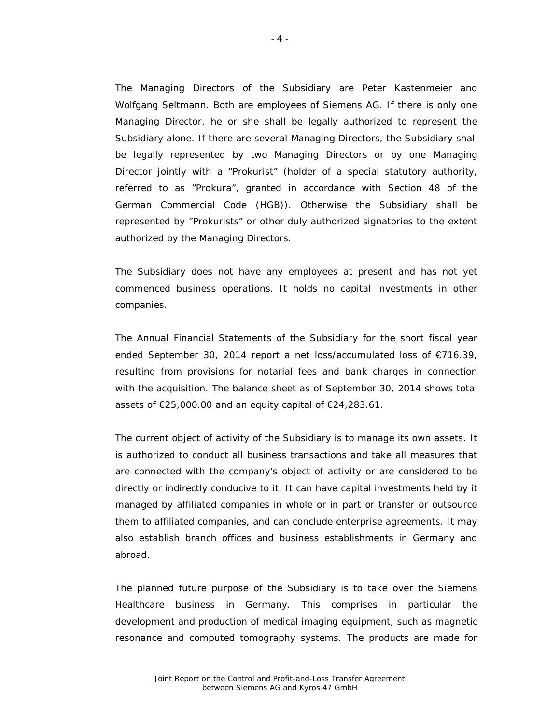The Managing Directors of the Subsidiary are Peter Kastenmeier and Wolfgang Seltmann. Both are employees of Siemens AG. If there is only one Managing Director, he or she shall be legally authorized to represent the Subsidiary alone. If there are several Managing Directors, the Subsidiary shall be legally represented by two Managing Directors or by one Managing Director jointly with a "Prokurist" (holder of a special statutory authority, referred to as "Prokura", granted in accordance with Section 48 of the German Commercial Code (HGB)). Otherwise the Subsidiary shall be represented by "Prokurists" or other duly authorized signatories to the extent authorized by the Managing Directors.

The Subsidiary does not have any employees at present and has not yet commenced business operations. It holds no capital investments in other companies.

The Annual Financial Statements of the Subsidiary for the short fiscal year ended September 30, 2014 report a net loss/accumulated loss of €716.39, resulting from provisions for notarial fees and bank charges in connection with the acquisition. The balance sheet as of September 30, 2014 shows total assets of €25,000.00 and an equity capital of €24,283.61.

The current object of activity of the Subsidiary is to manage its own assets. It is authorized to conduct all business transactions and take all measures that are connected with the company's object of activity or are considered to be directly or indirectly conducive to it. It can have capital investments held by it managed by affiliated companies in whole or in part or transfer or outsource them to affiliated companies, and can conclude enterprise agreements. It may also establish branch offices and business establishments in Germany and abroad.

The planned future purpose of the Subsidiary is to take over the Siemens Healthcare business in Germany. This comprises in particular the development and production of medical imaging equipment, such as magnetic resonance and computed tomography systems. The products are made for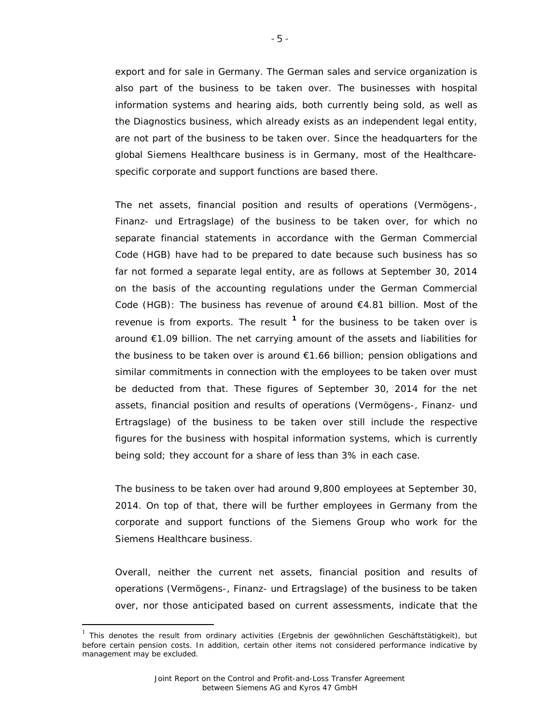export and for sale in Germany. The German sales and service organization is also part of the business to be taken over. The businesses with hospital information systems and hearing aids, both currently being sold, as well as the Diagnostics business, which already exists as an independent legal entity, are not part of the business to be taken over. Since the headquarters for the global Siemens Healthcare business is in Germany, most of the Healthcarespecific corporate and support functions are based there.

The net assets, financial position and results of operations (*Vermögens-, Finanz- und Ertragslage*) of the business to be taken over, for which no separate financial statements in accordance with the German Commercial Code (HGB) have had to be prepared to date because such business has so far not formed a separate legal entity, are as follows at September 30, 2014 on the basis of the accounting regulations under the German Commercial Code (HGB): The business has revenue of around  $E4.81$  billion. Most of the revenue is from exports. The result **[1](#page-4-0)** for the business to be taken over is around €1.09 billion. The net carrying amount of the assets and liabilities for the business to be taken over is around €1.66 billion; pension obligations and similar commitments in connection with the employees to be taken over must be deducted from that. These figures of September 30, 2014 for the net assets, financial position and results of operations (*Vermögens-, Finanz- und Ertragslage*) of the business to be taken over still include the respective figures for the business with hospital information systems, which is currently being sold; they account for a share of less than 3% in each case.

The business to be taken over had around 9,800 employees at September 30, 2014. On top of that, there will be further employees in Germany from the corporate and support functions of the Siemens Group who work for the Siemens Healthcare business.

Overall, neither the current net assets, financial position and results of operations (*Vermögens-, Finanz- und Ertragslage*) of the business to be taken over, nor those anticipated based on current assessments, indicate that the

 $\overline{a}$ 

<span id="page-4-0"></span><sup>1</sup> This denotes the result from ordinary activities (*Ergebnis der gewöhnlichen Geschäftstätigkeit*), but before certain pension costs. In addition, certain other items not considered performance indicative by management may be excluded.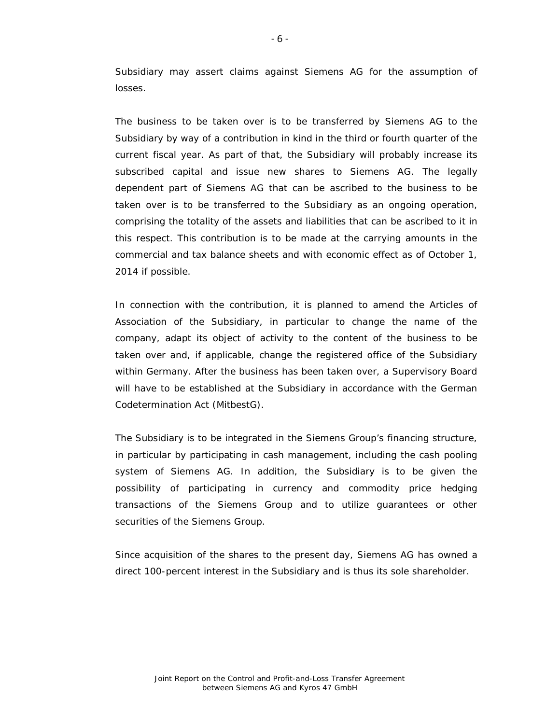Subsidiary may assert claims against Siemens AG for the assumption of losses.

The business to be taken over is to be transferred by Siemens AG to the Subsidiary by way of a contribution in kind in the third or fourth quarter of the current fiscal year. As part of that, the Subsidiary will probably increase its subscribed capital and issue new shares to Siemens AG. The legally dependent part of Siemens AG that can be ascribed to the business to be taken over is to be transferred to the Subsidiary as an ongoing operation, comprising the totality of the assets and liabilities that can be ascribed to it in this respect. This contribution is to be made at the carrying amounts in the commercial and tax balance sheets and with economic effect as of October 1, 2014 if possible.

In connection with the contribution, it is planned to amend the Articles of Association of the Subsidiary, in particular to change the name of the company, adapt its object of activity to the content of the business to be taken over and, if applicable, change the registered office of the Subsidiary within Germany. After the business has been taken over, a Supervisory Board will have to be established at the Subsidiary in accordance with the German Codetermination Act (MitbestG).

The Subsidiary is to be integrated in the Siemens Group's financing structure, in particular by participating in cash management, including the cash pooling system of Siemens AG. In addition, the Subsidiary is to be given the possibility of participating in currency and commodity price hedging transactions of the Siemens Group and to utilize guarantees or other securities of the Siemens Group.

Since acquisition of the shares to the present day, Siemens AG has owned a direct 100-percent interest in the Subsidiary and is thus its sole shareholder.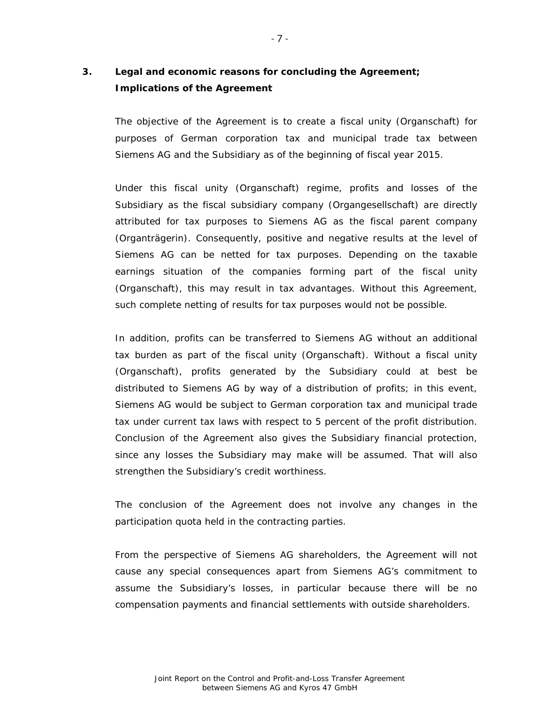# **3. Legal and economic reasons for concluding the Agreement; Implications of the Agreement**

The objective of the Agreement is to create a fiscal unity (*Organschaft*) for purposes of German corporation tax and municipal trade tax between Siemens AG and the Subsidiary as of the beginning of fiscal year 2015.

Under this fiscal unity (*Organschaft*) regime, profits and losses of the Subsidiary as the fiscal subsidiary company (*Organgesellschaft*) are directly attributed for tax purposes to Siemens AG as the fiscal parent company (*Organträgerin*). Consequently, positive and negative results at the level of Siemens AG can be netted for tax purposes. Depending on the taxable earnings situation of the companies forming part of the fiscal unity (*Organschaft*), this may result in tax advantages. Without this Agreement, such complete netting of results for tax purposes would not be possible.

In addition, profits can be transferred to Siemens AG without an additional tax burden as part of the fiscal unity (*Organschaft*). Without a fiscal unity (*Organschaft*), profits generated by the Subsidiary could at best be distributed to Siemens AG by way of a distribution of profits; in this event, Siemens AG would be subject to German corporation tax and municipal trade tax under current tax laws with respect to 5 percent of the profit distribution. Conclusion of the Agreement also gives the Subsidiary financial protection, since any losses the Subsidiary may make will be assumed. That will also strengthen the Subsidiary's credit worthiness.

The conclusion of the Agreement does not involve any changes in the participation quota held in the contracting parties.

From the perspective of Siemens AG shareholders, the Agreement will not cause any special consequences apart from Siemens AG's commitment to assume the Subsidiary's losses, in particular because there will be no compensation payments and financial settlements with outside shareholders.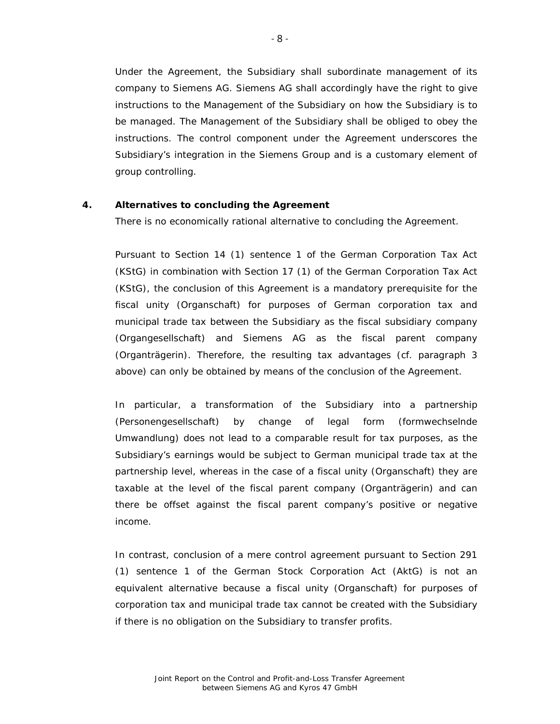Under the Agreement, the Subsidiary shall subordinate management of its company to Siemens AG. Siemens AG shall accordingly have the right to give instructions to the Management of the Subsidiary on how the Subsidiary is to be managed. The Management of the Subsidiary shall be obliged to obey the instructions. The control component under the Agreement underscores the Subsidiary's integration in the Siemens Group and is a customary element of group controlling.

### **4. Alternatives to concluding the Agreement**

There is no economically rational alternative to concluding the Agreement.

Pursuant to Section 14 (1) sentence 1 of the German Corporation Tax Act (KStG) in combination with Section 17 (1) of the German Corporation Tax Act (KStG), the conclusion of this Agreement is a mandatory prerequisite for the fiscal unity (*Organschaft*) for purposes of German corporation tax and municipal trade tax between the Subsidiary as the fiscal subsidiary company (*Organgesellschaft*) and Siemens AG as the fiscal parent company (*Organträgerin*). Therefore, the resulting tax advantages (cf. paragraph 3 above) can only be obtained by means of the conclusion of the Agreement.

In particular, a transformation of the Subsidiary into a partnership (*Personengesellschaft*) by change of legal form (*formwechselnde Umwandlung*) does not lead to a comparable result for tax purposes, as the Subsidiary's earnings would be subject to German municipal trade tax at the partnership level, whereas in the case of a fiscal unity (*Organschaft*) they are taxable at the level of the fiscal parent company (*Organträgerin*) and can there be offset against the fiscal parent company's positive or negative income.

In contrast, conclusion of a mere control agreement pursuant to Section 291 (1) sentence 1 of the German Stock Corporation Act (AktG) is not an equivalent alternative because a fiscal unity (*Organschaft*) for purposes of corporation tax and municipal trade tax cannot be created with the Subsidiary if there is no obligation on the Subsidiary to transfer profits.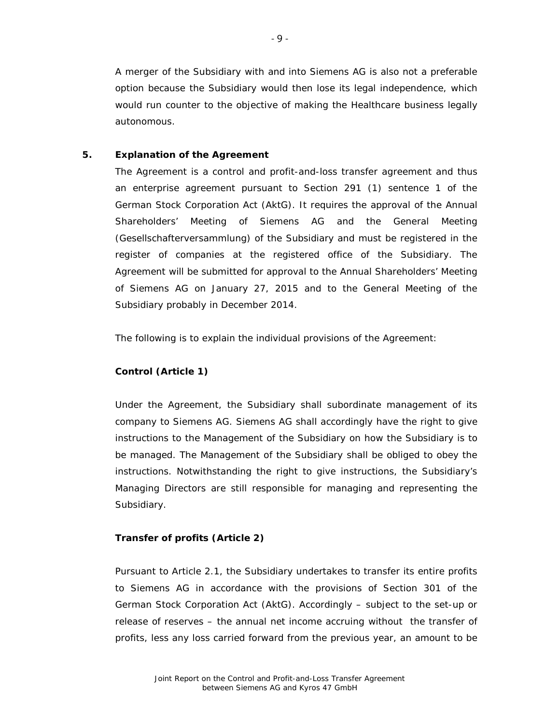A merger of the Subsidiary with and into Siemens AG is also not a preferable option because the Subsidiary would then lose its legal independence, which would run counter to the objective of making the Healthcare business legally autonomous.

### **5. Explanation of the Agreement**

The Agreement is a control and profit-and-loss transfer agreement and thus an enterprise agreement pursuant to Section 291 (1) sentence 1 of the German Stock Corporation Act (AktG). It requires the approval of the Annual Shareholders' Meeting of Siemens AG and the General Meeting (*Gesellschafterversammlung*) of the Subsidiary and must be registered in the register of companies at the registered office of the Subsidiary. The Agreement will be submitted for approval to the Annual Shareholders' Meeting of Siemens AG on January 27, 2015 and to the General Meeting of the Subsidiary probably in December 2014.

The following is to explain the individual provisions of the Agreement:

## **Control (Article 1)**

Under the Agreement, the Subsidiary shall subordinate management of its company to Siemens AG. Siemens AG shall accordingly have the right to give instructions to the Management of the Subsidiary on how the Subsidiary is to be managed. The Management of the Subsidiary shall be obliged to obey the instructions. Notwithstanding the right to give instructions, the Subsidiary's Managing Directors are still responsible for managing and representing the Subsidiary.

#### **Transfer of profits (Article 2)**

Pursuant to Article 2.1, the Subsidiary undertakes to transfer its entire profits to Siemens AG in accordance with the provisions of Section 301 of the German Stock Corporation Act (AktG). Accordingly – subject to the set-up or release of reserves – the annual net income accruing without the transfer of profits, less any loss carried forward from the previous year, an amount to be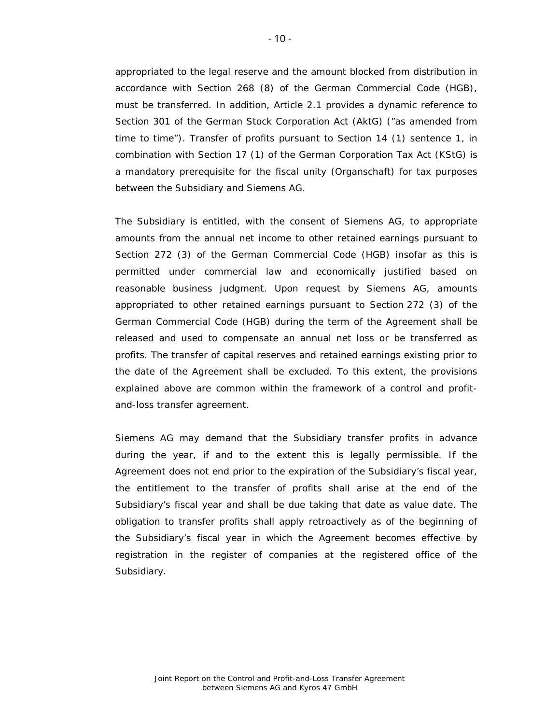appropriated to the legal reserve and the amount blocked from distribution in accordance with Section 268 (8) of the German Commercial Code (HGB), must be transferred. In addition, Article 2.1 provides a dynamic reference to Section 301 of the German Stock Corporation Act (AktG) ("as amended from time to time"). Transfer of profits pursuant to Section 14 (1) sentence 1, in combination with Section 17 (1) of the German Corporation Tax Act (KStG) is a mandatory prerequisite for the fiscal unity (*Organschaft*) for tax purposes between the Subsidiary and Siemens AG.

The Subsidiary is entitled, with the consent of Siemens AG, to appropriate amounts from the annual net income to other retained earnings pursuant to Section 272 (3) of the German Commercial Code (HGB) insofar as this is permitted under commercial law and economically justified based on reasonable business judgment. Upon request by Siemens AG, amounts appropriated to other retained earnings pursuant to Section 272 (3) of the German Commercial Code (HGB) during the term of the Agreement shall be released and used to compensate an annual net loss or be transferred as profits. The transfer of capital reserves and retained earnings existing prior to the date of the Agreement shall be excluded. To this extent, the provisions explained above are common within the framework of a control and profitand-loss transfer agreement.

Siemens AG may demand that the Subsidiary transfer profits in advance during the year, if and to the extent this is legally permissible. If the Agreement does not end prior to the expiration of the Subsidiary's fiscal year, the entitlement to the transfer of profits shall arise at the end of the Subsidiary's fiscal year and shall be due taking that date as value date. The obligation to transfer profits shall apply retroactively as of the beginning of the Subsidiary's fiscal year in which the Agreement becomes effective by registration in the register of companies at the registered office of the Subsidiary.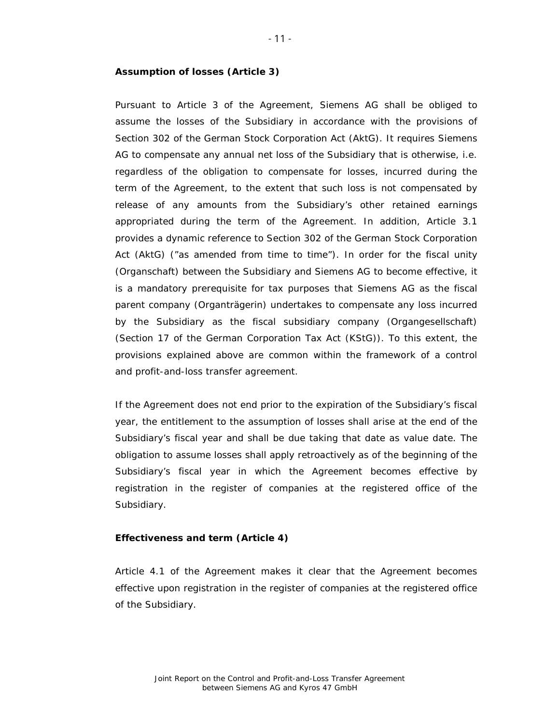#### **Assumption of losses (Article 3)**

Pursuant to Article 3 of the Agreement, Siemens AG shall be obliged to assume the losses of the Subsidiary in accordance with the provisions of Section 302 of the German Stock Corporation Act (AktG). It requires Siemens AG to compensate any annual net loss of the Subsidiary that is otherwise, i.e. regardless of the obligation to compensate for losses, incurred during the term of the Agreement, to the extent that such loss is not compensated by release of any amounts from the Subsidiary's other retained earnings appropriated during the term of the Agreement. In addition, Article 3.1 provides a dynamic reference to Section 302 of the German Stock Corporation Act (AktG) ("as amended from time to time"). In order for the fiscal unity (*Organschaft*) between the Subsidiary and Siemens AG to become effective, it is a mandatory prerequisite for tax purposes that Siemens AG as the fiscal parent company (*Organträgerin*) undertakes to compensate any loss incurred by the Subsidiary as the fiscal subsidiary company (*Organgesellschaft*) (Section 17 of the German Corporation Tax Act (KStG)). To this extent, the provisions explained above are common within the framework of a control and profit-and-loss transfer agreement.

If the Agreement does not end prior to the expiration of the Subsidiary's fiscal year, the entitlement to the assumption of losses shall arise at the end of the Subsidiary's fiscal year and shall be due taking that date as value date. The obligation to assume losses shall apply retroactively as of the beginning of the Subsidiary's fiscal year in which the Agreement becomes effective by registration in the register of companies at the registered office of the Subsidiary.

#### **Effectiveness and term (Article 4)**

Article 4.1 of the Agreement makes it clear that the Agreement becomes effective upon registration in the register of companies at the registered office of the Subsidiary.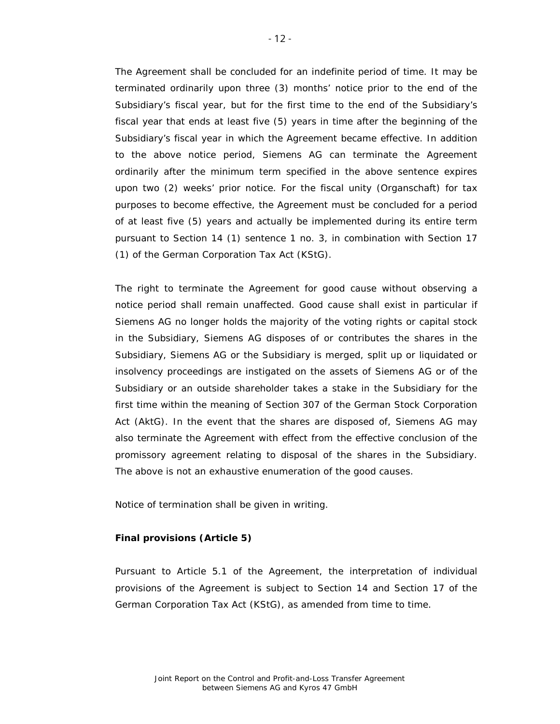The Agreement shall be concluded for an indefinite period of time. It may be terminated ordinarily upon three (3) months' notice prior to the end of the Subsidiary's fiscal year, but for the first time to the end of the Subsidiary's fiscal year that ends at least five (5) years in time after the beginning of the Subsidiary's fiscal year in which the Agreement became effective. In addition to the above notice period, Siemens AG can terminate the Agreement ordinarily after the minimum term specified in the above sentence expires upon two (2) weeks' prior notice. For the fiscal unity (*Organschaft*) for tax purposes to become effective, the Agreement must be concluded for a period of at least five (5) years and actually be implemented during its entire term pursuant to Section 14 (1) sentence 1 no. 3, in combination with Section 17 (1) of the German Corporation Tax Act (KStG).

The right to terminate the Agreement for good cause without observing a notice period shall remain unaffected. Good cause shall exist in particular if Siemens AG no longer holds the majority of the voting rights or capital stock in the Subsidiary, Siemens AG disposes of or contributes the shares in the Subsidiary, Siemens AG or the Subsidiary is merged, split up or liquidated or insolvency proceedings are instigated on the assets of Siemens AG or of the Subsidiary or an outside shareholder takes a stake in the Subsidiary for the first time within the meaning of Section 307 of the German Stock Corporation Act (AktG). In the event that the shares are disposed of, Siemens AG may also terminate the Agreement with effect from the effective conclusion of the promissory agreement relating to disposal of the shares in the Subsidiary. The above is not an exhaustive enumeration of the good causes.

Notice of termination shall be given in writing.

#### **Final provisions (Article 5)**

Pursuant to Article 5.1 of the Agreement, the interpretation of individual provisions of the Agreement is subject to Section 14 and Section 17 of the German Corporation Tax Act (KStG), as amended from time to time.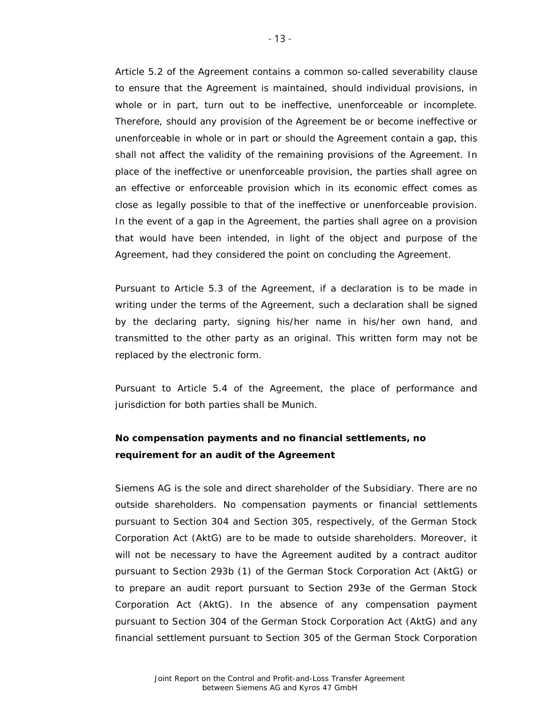Article 5.2 of the Agreement contains a common so-called severability clause to ensure that the Agreement is maintained, should individual provisions, in whole or in part, turn out to be ineffective, unenforceable or incomplete. Therefore, should any provision of the Agreement be or become ineffective or unenforceable in whole or in part or should the Agreement contain a gap, this shall not affect the validity of the remaining provisions of the Agreement. In place of the ineffective or unenforceable provision, the parties shall agree on an effective or enforceable provision which in its economic effect comes as close as legally possible to that of the ineffective or unenforceable provision. In the event of a gap in the Agreement, the parties shall agree on a provision that would have been intended, in light of the object and purpose of the Agreement, had they considered the point on concluding the Agreement.

Pursuant to Article 5.3 of the Agreement, if a declaration is to be made in writing under the terms of the Agreement, such a declaration shall be signed by the declaring party, signing his/her name in his/her own hand, and transmitted to the other party as an original. This written form may not be replaced by the electronic form.

Pursuant to Article 5.4 of the Agreement, the place of performance and jurisdiction for both parties shall be Munich.

# **No compensation payments and no financial settlements, no requirement for an audit of the Agreement**

Siemens AG is the sole and direct shareholder of the Subsidiary. There are no outside shareholders. No compensation payments or financial settlements pursuant to Section 304 and Section 305, respectively, of the German Stock Corporation Act (AktG) are to be made to outside shareholders. Moreover, it will not be necessary to have the Agreement audited by a contract auditor pursuant to Section 293b (1) of the German Stock Corporation Act (AktG) or to prepare an audit report pursuant to Section 293e of the German Stock Corporation Act (AktG). In the absence of any compensation payment pursuant to Section 304 of the German Stock Corporation Act (AktG) and any financial settlement pursuant to Section 305 of the German Stock Corporation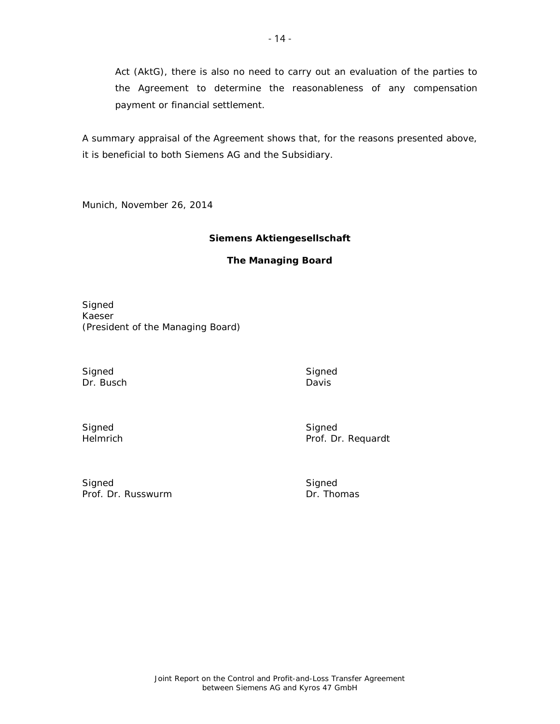Act (AktG), there is also no need to carry out an evaluation of the parties to the Agreement to determine the reasonableness of any compensation payment or financial settlement.

A summary appraisal of the Agreement shows that, for the reasons presented above, it is beneficial to both Siemens AG and the Subsidiary.

Munich, November 26, 2014

## **Siemens Aktiengesellschaft**

# **The Managing Board**

Signed Kaeser (President of the Managing Board)

Signed Signed Signed Signed Signed Signed Signed Signed Signed Signed Signed Signed Signed Signed Signed Signed Signed Signed Signed Signed Signed Signed Signed Signed Signed Signed Signed Signed Signed Signed Signed Signe Dr. Busch

Davis

Signed Helmrich Signed Prof. Dr. Requardt

Signed Prof. Dr. Russwurm Signed<br>Dr. Thomas